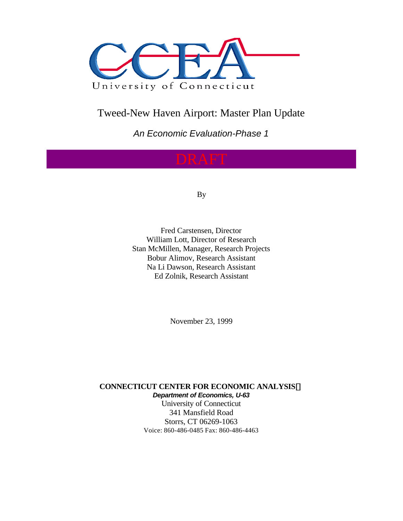

## Tweed-New Haven Airport: Master Plan Update

*An Economic Evaluation-Phase 1*

By

Fred Carstensen, Director William Lott, Director of Research Stan McMillen, Manager, Research Projects Bobur Alimov, Research Assistant Na Li Dawson, Research Assistant Ed Zolnik, Research Assistant

November 23, 1999

**CONNECTICUT CENTER FOR ECONOMIC ANALYSISã** *Department of Economics, U-63* University of Connecticut 341 Mansfield Road Storrs, CT 06269-1063

Voice: 860-486-0485 Fax: 860-486-4463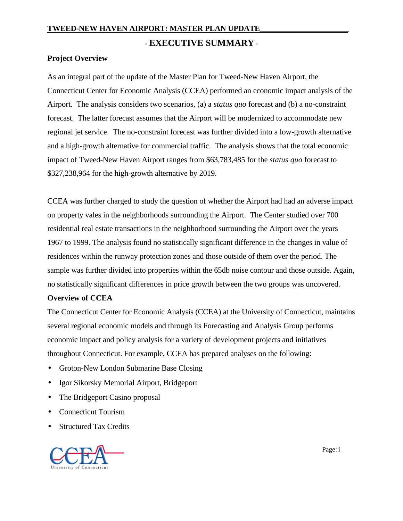## - **EXECUTIVE SUMMARY** -

## **Project Overview**

As an integral part of the update of the Master Plan for Tweed-New Haven Airport, the Connecticut Center for Economic Analysis (CCEA) performed an economic impact analysis of the Airport. The analysis considers two scenarios, (a) a *status quo* forecast and (b) a no-constraint forecast. The latter forecast assumes that the Airport will be modernized to accommodate new regional jet service. The no-constraint forecast was further divided into a low-growth alternative and a high-growth alternative for commercial traffic. The analysis shows that the total economic impact of Tweed-New Haven Airport ranges from \$63,783,485 for the *status quo* forecast to \$327,238,964 for the high-growth alternative by 2019.

CCEA was further charged to study the question of whether the Airport had had an adverse impact on property vales in the neighborhoods surrounding the Airport. The Center studied over 700 residential real estate transactions in the neighborhood surrounding the Airport over the years 1967 to 1999. The analysis found no statistically significant difference in the changes in value of residences within the runway protection zones and those outside of them over the period. The sample was further divided into properties within the 65db noise contour and those outside. Again, no statistically significant differences in price growth between the two groups was uncovered.

## **Overview of CCEA**

The Connecticut Center for Economic Analysis (CCEA) at the University of Connecticut, maintains several regional economic models and through its Forecasting and Analysis Group performs economic impact and policy analysis for a variety of development projects and initiatives throughout Connecticut. For example, CCEA has prepared analyses on the following:

- Groton-New London Submarine Base Closing
- Igor Sikorsky Memorial Airport, Bridgeport
- The Bridgeport Casino proposal
- Connecticut Tourism
- **Structured Tax Credits**

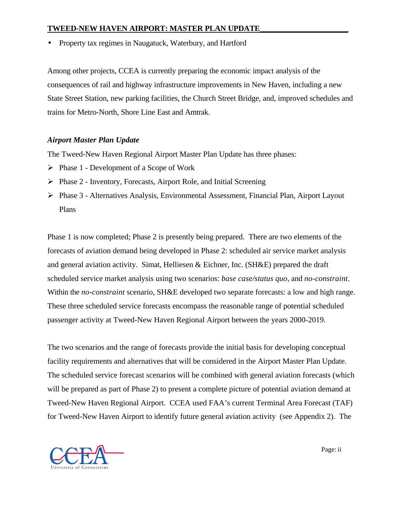• Property tax regimes in Naugatuck, Waterbury, and Hartford

Among other projects, CCEA is currently preparing the economic impact analysis of the consequences of rail and highway infrastructure improvements in New Haven, including a new State Street Station, new parking facilities, the Church Street Bridge, and, improved schedules and trains for Metro-North, Shore Line East and Amtrak.

## *Airport Master Plan Update*

The Tweed-New Haven Regional Airport Master Plan Update has three phases:

- $\triangleright$  Phase 1 Development of a Scope of Work
- ÿ Phase 2 Inventory, Forecasts, Airport Role, and Initial Screening
- ÿ Phase 3 Alternatives Analysis, Environmental Assessment, Financial Plan, Airport Layout Plans

Phase 1 is now completed; Phase 2 is presently being prepared. There are two elements of the forecasts of aviation demand being developed in Phase 2: scheduled air service market analysis and general aviation activity. Simat, Helliesen & Eichner, Inc. (SH&E) prepared the draft scheduled service market analysis using two scenarios: *base case/status quo*, and *no-constraint*. Within the *no-constraint* scenario, SH&E developed two separate forecasts: a low and high range. These three scheduled service forecasts encompass the reasonable range of potential scheduled passenger activity at Tweed-New Haven Regional Airport between the years 2000-2019.

The two scenarios and the range of forecasts provide the initial basis for developing conceptual facility requirements and alternatives that will be considered in the Airport Master Plan Update. The scheduled service forecast scenarios will be combined with general aviation forecasts (which will be prepared as part of Phase 2) to present a complete picture of potential aviation demand at Tweed-New Haven Regional Airport. CCEA used FAA's current Terminal Area Forecast (TAF) for Tweed-New Haven Airport to identify future general aviation activity (see Appendix 2). The



Page: ii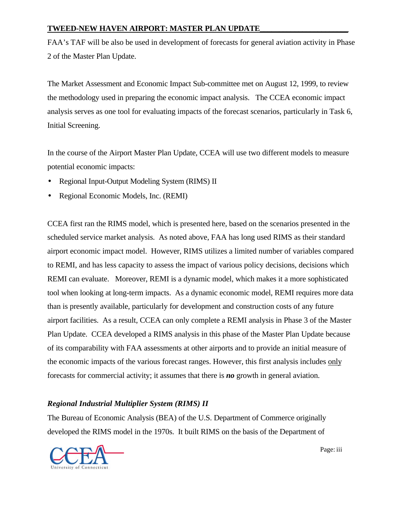FAA's TAF will be also be used in development of forecasts for general aviation activity in Phase 2 of the Master Plan Update.

The Market Assessment and Economic Impact Sub-committee met on August 12, 1999, to review the methodology used in preparing the economic impact analysis. The CCEA economic impact analysis serves as one tool for evaluating impacts of the forecast scenarios, particularly in Task 6, Initial Screening.

In the course of the Airport Master Plan Update, CCEA will use two different models to measure potential economic impacts:

- Regional Input-Output Modeling System (RIMS) II
- Regional Economic Models, Inc. (REMI)

CCEA first ran the RIMS model, which is presented here, based on the scenarios presented in the scheduled service market analysis. As noted above, FAA has long used RIMS as their standard airport economic impact model. However, RIMS utilizes a limited number of variables compared to REMI, and has less capacity to assess the impact of various policy decisions, decisions which REMI can evaluate. Moreover, REMI is a dynamic model, which makes it a more sophisticated tool when looking at long-term impacts. As a dynamic economic model, REMI requires more data than is presently available, particularly for development and construction costs of any future airport facilities. As a result, CCEA can only complete a REMI analysis in Phase 3 of the Master Plan Update. CCEA developed a RIMS analysis in this phase of the Master Plan Update because of its comparability with FAA assessments at other airports and to provide an initial measure of the economic impacts of the various forecast ranges. However, this first analysis includes only forecasts for commercial activity; it assumes that there is *no* growth in general aviation.

## *Regional Industrial Multiplier System (RIMS) II*

The Bureau of Economic Analysis (BEA) of the U.S. Department of Commerce originally developed the RIMS model in the 1970s. It built RIMS on the basis of the Department of



**Page:** iii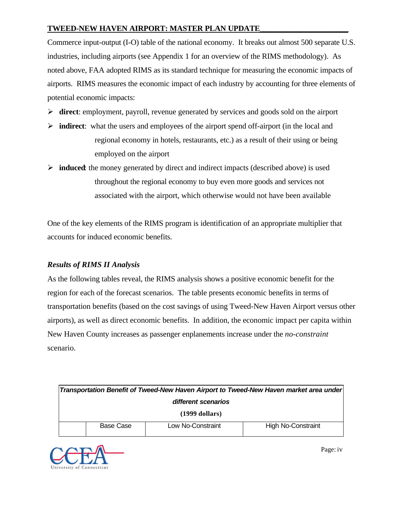Commerce input-output (I-O) table of the national economy. It breaks out almost 500 separate U.S. industries, including airports (see Appendix 1 for an overview of the RIMS methodology). As noted above, FAA adopted RIMS as its standard technique for measuring the economic impacts of airports. RIMS measures the economic impact of each industry by accounting for three elements of potential economic impacts:

- ÿ **direct**: employment, payroll, revenue generated by services and goods sold on the airport
- $\triangleright$  **indirect**: what the users and employees of the airport spend of f-airport (in the local and regional economy in hotels, restaurants, etc.) as a result of their using or being employed on the airport
- $\triangleright$  **induced**: the money generated by direct and indirect impacts (described above) is used throughout the regional economy to buy even more goods and services not associated with the airport, which otherwise would not have been available

One of the key elements of the RIMS program is identification of an appropriate multiplier that accounts for induced economic benefits.

## *Results of RIMS II Analysis*

As the following tables reveal, the RIMS analysis shows a positive economic benefit for the region for each of the forecast scenarios. The table presents economic benefits in terms of transportation benefits (based on the cost savings of using Tweed-New Haven Airport versus other airports), as well as direct economic benefits. In addition, the economic impact per capita within New Haven County increases as passenger enplanements increase under the *no-constraint* scenario.

| Transportation Benefit of Tweed-New Haven Airport to Tweed-New Haven market area under |  |  |  |  |  |
|----------------------------------------------------------------------------------------|--|--|--|--|--|
| different scenarios                                                                    |  |  |  |  |  |
| $(1999$ dollars)                                                                       |  |  |  |  |  |
| Base Case<br>Low No-Constraint<br>High No-Constraint                                   |  |  |  |  |  |



**Page:** iv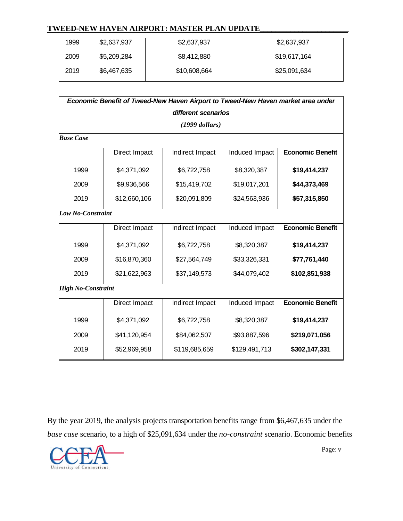| 1999 | \$2,637,937 | \$2,637,937  | \$2,637,937  |
|------|-------------|--------------|--------------|
|      |             |              |              |
| 2009 | \$5,209,284 | \$8,412,880  | \$19,617,164 |
|      |             |              |              |
| 2019 | \$6,467,635 | \$10,608,664 | \$25,091,634 |
|      |             |              |              |

| Economic Benefit of Tweed-New Haven Airport to Tweed-New Haven market area under |                     |                  |                |                         |  |  |  |
|----------------------------------------------------------------------------------|---------------------|------------------|----------------|-------------------------|--|--|--|
|                                                                                  | different scenarios |                  |                |                         |  |  |  |
|                                                                                  |                     | $(1999$ dollars) |                |                         |  |  |  |
| <b>Base Case</b>                                                                 |                     |                  |                |                         |  |  |  |
|                                                                                  | Direct Impact       | Indirect Impact  | Induced Impact | <b>Economic Benefit</b> |  |  |  |
| 1999                                                                             | \$4,371,092         | \$6,722,758      | \$8,320,387    | \$19,414,237            |  |  |  |
| 2009                                                                             | \$9,936,566         | \$15,419,702     | \$19,017,201   | \$44,373,469            |  |  |  |
| 2019                                                                             | \$12,660,106        | \$20,091,809     | \$24,563,936   | \$57,315,850            |  |  |  |
| <b>Low No-Constraint</b>                                                         |                     |                  |                |                         |  |  |  |
|                                                                                  | Direct Impact       | Indirect Impact  | Induced Impact | <b>Economic Benefit</b> |  |  |  |
| 1999                                                                             | \$4,371,092         | \$6,722,758      | \$8,320,387    | \$19,414,237            |  |  |  |
| 2009                                                                             | \$16,870,360        | \$27,564,749     | \$33,326,331   | \$77,761,440            |  |  |  |
| 2019                                                                             | \$21,622,963        | \$37,149,573     | \$44,079,402   | \$102,851,938           |  |  |  |
| <b>High No-Constraint</b>                                                        |                     |                  |                |                         |  |  |  |
|                                                                                  | Direct Impact       | Indirect Impact  | Induced Impact | <b>Economic Benefit</b> |  |  |  |
| 1999                                                                             | \$4,371,092         | \$6,722,758      | \$8,320,387    | \$19,414,237            |  |  |  |
| 2009                                                                             | \$41,120,954        | \$84,062,507     | \$93,887,596   | \$219,071,056           |  |  |  |
| 2019                                                                             | \$52,969,958        | \$119,685,659    | \$129,491,713  | \$302,147,331           |  |  |  |

By the year 2019, the analysis projects transportation benefits range from \$6,467,635 under the *base case* scenario, to a high of \$25,091,634 under the *no-constraint* scenario. Economic benefits



Page: v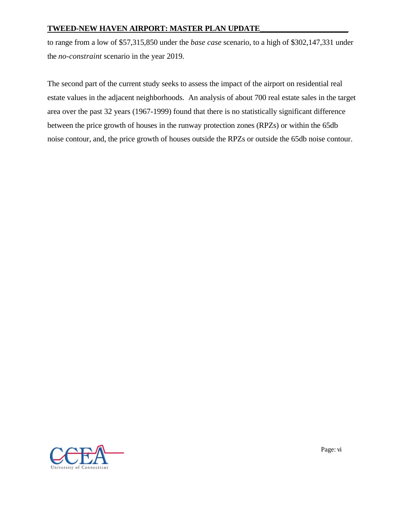to range from a low of \$57,315,850 under the *base case* scenario, to a high of \$302,147,331 under the *no-constraint* scenario in the year 2019.

The second part of the current study seeks to assess the impact of the airport on residential real estate values in the adjacent neighborhoods. An analysis of about 700 real estate sales in the target area over the past 32 years (1967-1999) found that there is no statistically significant difference between the price growth of houses in the runway protection zones (RPZs) or within the 65db noise contour, and, the price growth of houses outside the RPZs or outside the 65db noise contour.



<u>Page:</u> vi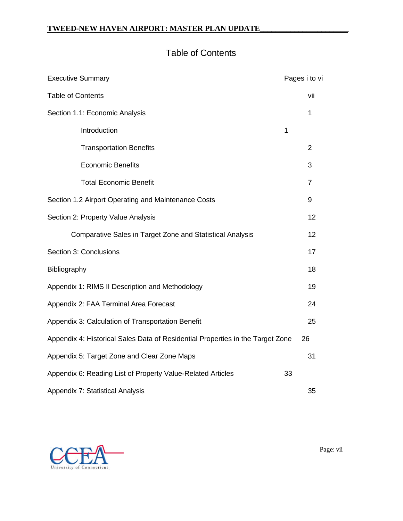## Table of Contents

| <b>Executive Summary</b>                                                       | Pages i to vi  |  |  |
|--------------------------------------------------------------------------------|----------------|--|--|
| <b>Table of Contents</b>                                                       |                |  |  |
| Section 1.1: Economic Analysis                                                 | 1              |  |  |
| Introduction<br>1                                                              |                |  |  |
| <b>Transportation Benefits</b>                                                 | $\overline{2}$ |  |  |
| <b>Economic Benefits</b>                                                       | 3              |  |  |
| <b>Total Economic Benefit</b>                                                  | $\overline{7}$ |  |  |
| Section 1.2 Airport Operating and Maintenance Costs                            | 9              |  |  |
| Section 2: Property Value Analysis                                             |                |  |  |
| <b>Comparative Sales in Target Zone and Statistical Analysis</b>               | 12             |  |  |
| Section 3: Conclusions                                                         | 17             |  |  |
| Bibliography                                                                   | 18             |  |  |
| Appendix 1: RIMS II Description and Methodology                                | 19             |  |  |
| Appendix 2: FAA Terminal Area Forecast                                         | 24             |  |  |
| Appendix 3: Calculation of Transportation Benefit                              | 25             |  |  |
| Appendix 4: Historical Sales Data of Residential Properties in the Target Zone |                |  |  |
| Appendix 5: Target Zone and Clear Zone Maps                                    | 31             |  |  |
| Appendix 6: Reading List of Property Value-Related Articles<br>33              |                |  |  |
| Appendix 7: Statistical Analysis                                               |                |  |  |



Page: vii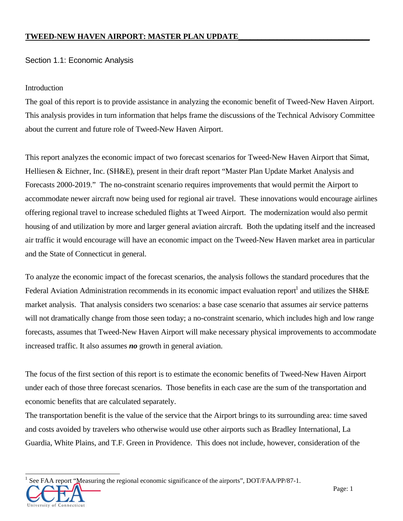## Section 1.1: Economic Analysis

## Introduction

The goal of this report is to provide assistance in analyzing the economic benefit of Tweed-New Haven Airport. This analysis provides in turn information that helps frame the discussions of the Technical Advisory Committee about the current and future role of Tweed-New Haven Airport.

This report analyzes the economic impact of two forecast scenarios for Tweed-New Haven Airport that Simat, Helliesen & Eichner, Inc. (SH&E), present in their draft report "Master Plan Update Market Analysis and Forecasts 2000-2019." The no-constraint scenario requires improvements that would permit the Airport to accommodate newer aircraft now being used for regional air travel. These innovations would encourage airlines offering regional travel to increase scheduled flights at Tweed Airport. The modernization would also permit housing of and utilization by more and larger general aviation aircraft. Both the updating itself and the increased air traffic it would encourage will have an economic impact on the Tweed-New Haven market area in particular and the State of Connecticut in general.

To analyze the economic impact of the forecast scenarios, the analysis follows the standard procedures that the Federal Aviation Administration recommends in its economic impact evaluation report<sup>1</sup> and utilizes the SH&E market analysis. That analysis considers two scenarios: a base case scenario that assumes air service patterns will not dramatically change from those seen today; a no-constraint scenario, which includes high and low range forecasts, assumes that Tweed-New Haven Airport will make necessary physical improvements to accommodate increased traffic. It also assumes *no* growth in general aviation.

The focus of the first section of this report is to estimate the economic benefits of Tweed-New Haven Airport under each of those three forecast scenarios. Those benefits in each case are the sum of the transportation and economic benefits that are calculated separately.

The transportation benefit is the value of the service that the Airport brings to its surrounding area: time saved and costs avoided by travelers who otherwise would use other airports such as Bradley International, La Guardia, White Plains, and T.F. Green in Providence. This does not include, however, consideration of the

l 1 See FAA report "Measuring the regional economic significance of the airports", DOT/FAA/PP/87-1.

of Connecticut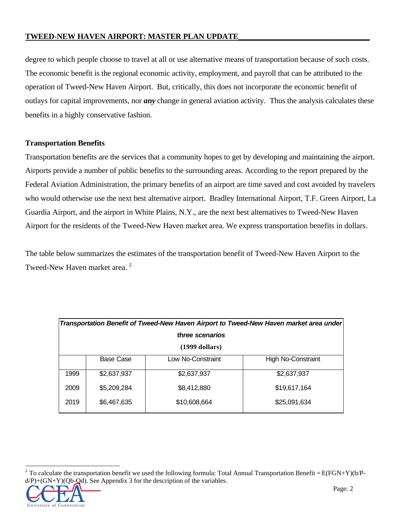degree to which people choose to travel at all or use alternative means of transportation because of such costs. The economic benefit is the regional economic activity, employment, and payroll that can be attributed to the operation of Tweed-New Haven Airport. But, critically, this does not incorporate the economic benefit of outlays for capital improvements, nor *any* change in general aviation activity. Thus the analysis calculates these benefits in a highly conservative fashion.

## **Transportation Benefits**

Transportation benefits are the services that a community hopes to get by developing and maintaining the airport. Airports provide a number of public benefits to the surrounding areas. According to the report prepared by the Federal Aviation Administration, the primary benefits of an airport are time saved and cost avoided by travelers who would otherwise use the next best alternative airport. Bradley International Airport, T.F. Green Airport, La Guardia Airport, and the airport in White Plains, N.Y., are the next best alternatives to Tweed-New Haven Airport for the residents of the Tweed-New Haven market area. We express transportation benefits in dollars.

The table below summarizes the estimates of the transportation benefit of Tweed-New Haven Airport to the Tweed-New Haven market area.<sup>2</sup>

| Transportation Benefit of Tweed-New Haven Airport to Tweed-New Haven market area under |             |                   |                           |  |  |
|----------------------------------------------------------------------------------------|-------------|-------------------|---------------------------|--|--|
| three scenarios                                                                        |             |                   |                           |  |  |
| $(1999$ dollars)                                                                       |             |                   |                           |  |  |
|                                                                                        | Base Case   | Low No-Constraint | <b>High No-Constraint</b> |  |  |
| 1999                                                                                   | \$2,637,937 | \$2,637,937       | \$2,637,937               |  |  |
| 2009                                                                                   | \$5,209,284 | \$8,412,880       | \$19,617,164              |  |  |
| 2019                                                                                   | \$6,467,635 | \$10,608,664      | \$25,091,634              |  |  |

<sup>&</sup>lt;sup>2</sup> To calculate the transportation benefit we used the following formula: Total Annual Transportation Benefit = E(FGN+Y)(b/P $d(P)+(GN+Y)(Qb-Qd)$ . See Appendix 3 for the description of the variables.



l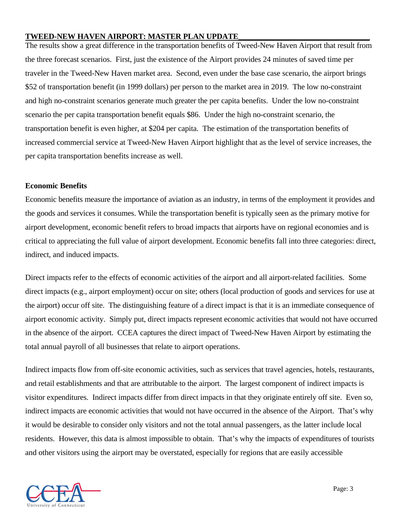The results show a great difference in the transportation benefits of Tweed-New Haven Airport that result from the three forecast scenarios. First, just the existence of the Airport provides 24 minutes of saved time per traveler in the Tweed-New Haven market area. Second, even under the base case scenario, the airport brings \$52 of transportation benefit (in 1999 dollars) per person to the market area in 2019. The low no-constraint and high no-constraint scenarios generate much greater the per capita benefits. Under the low no-constraint scenario the per capita transportation benefit equals \$86. Under the high no-constraint scenario, the transportation benefit is even higher, at \$204 per capita. The estimation of the transportation benefits of increased commercial service at Tweed-New Haven Airport highlight that as the level of service increases, the per capita transportation benefits increase as well.

## **Economic Benefits**

Economic benefits measure the importance of aviation as an industry, in terms of the employment it provides and the goods and services it consumes. While the transportation benefit is typically seen as the primary motive for airport development, economic benefit refers to broad impacts that airports have on regional economies and is critical to appreciating the full value of airport development. Economic benefits fall into three categories: direct, indirect, and induced impacts.

Direct impacts refer to the effects of economic activities of the airport and all airport-related facilities. Some direct impacts (e.g., airport employment) occur on site; others (local production of goods and services for use at the airport) occur off site. The distinguishing feature of a direct impact is that it is an immediate consequence of airport economic activity. Simply put, direct impacts represent economic activities that would not have occurred in the absence of the airport. CCEA captures the direct impact of Tweed-New Haven Airport by estimating the total annual payroll of all businesses that relate to airport operations.

Indirect impacts flow from off-site economic activities, such as services that travel agencies, hotels, restaurants, and retail establishments and that are attributable to the airport. The largest component of indirect impacts is visitor expenditures. Indirect impacts differ from direct impacts in that they originate entirely off site. Even so, indirect impacts are economic activities that would not have occurred in the absence of the Airport. That's why it would be desirable to consider only visitors and not the total annual passengers, as the latter include local residents. However, this data is almost impossible to obtain. That's why the impacts of expenditures of tourists and other visitors using the airport may be overstated, especially for regions that are easily accessible

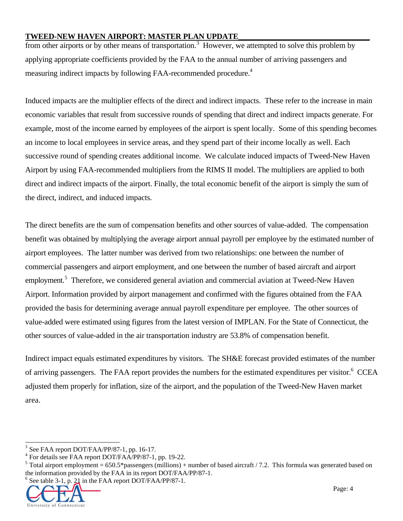from other airports or by other means of transportation.<sup>3</sup> However, we attempted to solve this problem by applying appropriate coefficients provided by the FAA to the annual number of arriving passengers and measuring indirect impacts by following FAA-recommended procedure.<sup>4</sup>

Induced impacts are the multiplier effects of the direct and indirect impacts. These refer to the increase in main economic variables that result from successive rounds of spending that direct and indirect impacts generate. For example, most of the income earned by employees of the airport is spent locally. Some of this spending becomes an income to local employees in service areas, and they spend part of their income locally as well. Each successive round of spending creates additional income. We calculate induced impacts of Tweed-New Haven Airport by using FAA-recommended multipliers from the RIMS II model. The multipliers are applied to both direct and indirect impacts of the airport. Finally, the total economic benefit of the airport is simply the sum of the direct, indirect, and induced impacts.

The direct benefits are the sum of compensation benefits and other sources of value-added. The compensation benefit was obtained by multiplying the average airport annual payroll per employee by the estimated number of airport employees. The latter number was derived from two relationships: one between the number of commercial passengers and airport employment, and one between the number of based aircraft and airport employment.<sup>5</sup> Therefore, we considered general aviation and commercial aviation at Tweed-New Haven Airport. Information provided by airport management and confirmed with the figures obtained from the FAA provided the basis for determining average annual payroll expenditure per employee. The other sources of value-added were estimated using figures from the latest version of IMPLAN. For the State of Connecticut, the other sources of value-added in the air transportation industry are 53.8% of compensation benefit.

Indirect impact equals estimated expenditures by visitors. The SH&E forecast provided estimates of the number of arriving passengers. The FAA report provides the numbers for the estimated expenditures per visitor.<sup>6</sup> CCEA adjusted them properly for inflation, size of the airport, and the population of the Tweed-New Haven market area.

<sup>6</sup> See table 3-1, p. 21 in the FAA report DOT/FAA/PP/87-1.



l

<sup>&</sup>lt;sup>3</sup> See FAA report DOT/FAA/PP/87-1, pp. 16-17.

<sup>4</sup> For details see FAA report DOT/FAA/PP/87-1, pp. 19-22.

<sup>&</sup>lt;sup>5</sup> Total airport employment = 650.5\*passengers (millions) + number of based aircraft / 7.2. This formula was generated based on the information provided by the FAA in its report DOT/FAA/PP/87-1.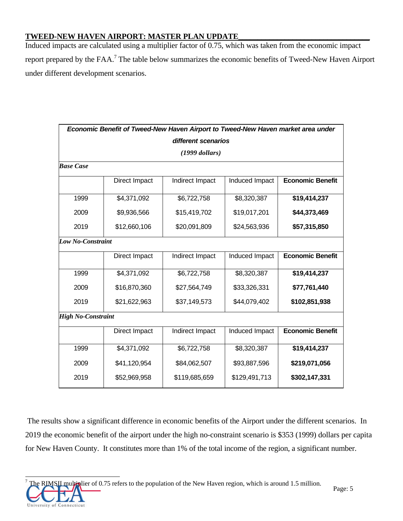Induced impacts are calculated using a multiplier factor of 0.75, which was taken from the economic impact report prepared by the FAA.<sup>7</sup> The table below summarizes the economic benefits of Tweed-New Haven Airport under different development scenarios.

|                           | Economic Benefit of Tweed-New Haven Airport to Tweed-New Haven market area under |                     |                |                         |  |  |
|---------------------------|----------------------------------------------------------------------------------|---------------------|----------------|-------------------------|--|--|
|                           |                                                                                  | different scenarios |                |                         |  |  |
|                           |                                                                                  | $(1999$ dollars)    |                |                         |  |  |
| <b>Base Case</b>          |                                                                                  |                     |                |                         |  |  |
|                           | Direct Impact                                                                    | Indirect Impact     | Induced Impact | <b>Economic Benefit</b> |  |  |
| 1999                      | \$4,371,092                                                                      | \$6,722,758         | \$8,320,387    | \$19,414,237            |  |  |
| 2009                      | \$9,936,566                                                                      | \$15,419,702        | \$19,017,201   | \$44,373,469            |  |  |
| 2019                      | \$12,660,106                                                                     | \$20,091,809        | \$24,563,936   | \$57,315,850            |  |  |
|                           | <b>Low No-Constraint</b>                                                         |                     |                |                         |  |  |
|                           | Direct Impact                                                                    | Indirect Impact     | Induced Impact | <b>Economic Benefit</b> |  |  |
| 1999                      | \$4,371,092                                                                      | \$6,722,758         | \$8,320,387    | \$19,414,237            |  |  |
| 2009                      | \$16,870,360                                                                     | \$27,564,749        | \$33,326,331   | \$77,761,440            |  |  |
| 2019                      | \$21,622,963                                                                     | \$37,149,573        | \$44,079,402   | \$102,851,938           |  |  |
| <b>High No-Constraint</b> |                                                                                  |                     |                |                         |  |  |
|                           | Direct Impact                                                                    | Indirect Impact     | Induced Impact | <b>Economic Benefit</b> |  |  |
| 1999                      | \$4,371,092                                                                      | \$6,722,758         | \$8,320,387    | \$19,414,237            |  |  |
| 2009                      | \$41,120,954                                                                     | \$84,062,507        | \$93,887,596   | \$219,071,056           |  |  |
| 2019                      | \$52,969,958                                                                     | \$119,685,659       | \$129,491,713  | \$302,147,331           |  |  |

The results show a significant difference in economic benefits of the Airport under the different scenarios. In 2019 the economic benefit of the airport under the high no-constraint scenario is \$353 (1999) dollars per capita for New Haven County. It constitutes more than 1% of the total income of the region, a significant number.

Connecticut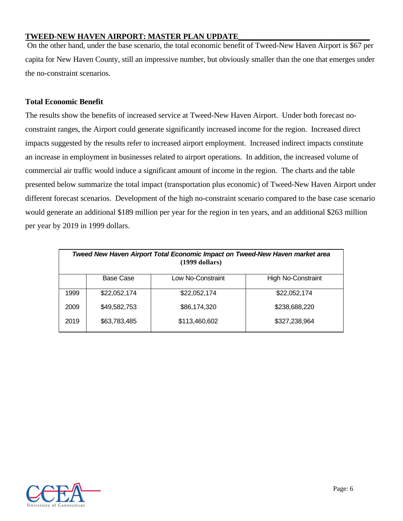On the other hand, under the base scenario, the total economic benefit of Tweed-New Haven Airport is \$67 per capita for New Haven County, still an impressive number, but obviously smaller than the one that emerges under the no-constraint scenarios.

## **Total Economic Benefit**

The results show the benefits of increased service at Tweed-New Haven Airport. Under both forecast noconstraint ranges, the Airport could generate significantly increased income for the region. Increased direct impacts suggested by the results refer to increased airport employment. Increased indirect impacts constitute an increase in employment in businesses related to airport operations. In addition, the increased volume of commercial air traffic would induce a significant amount of income in the region. The charts and the table presented below summarize the total impact (transportation plus economic) of Tweed-New Haven Airport under different forecast scenarios. Development of the high no-constraint scenario compared to the base case scenario would generate an additional \$189 million per year for the region in ten years, and an additional \$263 million per year by 2019 in 1999 dollars.

| Tweed New Haven Airport Total Economic Impact on Tweed-New Haven market area<br>$(1999$ dollars) |              |                   |                    |  |
|--------------------------------------------------------------------------------------------------|--------------|-------------------|--------------------|--|
|                                                                                                  | Base Case    | Low No-Constraint | High No-Constraint |  |
| 1999                                                                                             | \$22,052,174 | \$22,052,174      | \$22,052,174       |  |
| 2009                                                                                             | \$49,582,753 | \$86,174,320      | \$238,688,220      |  |
| 2019                                                                                             | \$63,783,485 | \$113,460,602     | \$327,238,964      |  |

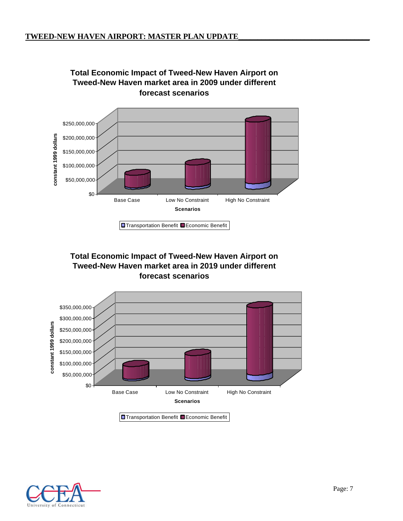

# **Total Economic Impact of Tweed-New Haven Airport on**

## **Total Economic Impact of Tweed-New Haven Airport on Tweed-New Haven market area in 2019 under different forecast scenarios**



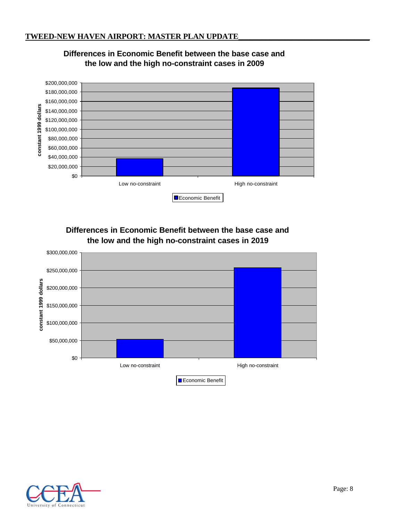

## **Differences in Economic Benefit between the base case and the low and the high no-constraint cases in 2009**

## **Differences in Economic Benefit between the base case and the low and the high no-constraint cases in 2019**



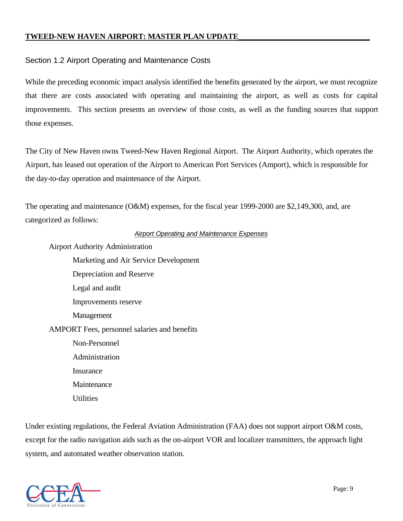## Section 1.2 Airport Operating and Maintenance Costs

While the preceding economic impact analysis identified the benefits generated by the airport, we must recognize that there are costs associated with operating and maintaining the airport, as well as costs for capital improvements. This section presents an overview of those costs, as well as the funding sources that support those expenses.

The City of New Haven owns Tweed-New Haven Regional Airport. The Airport Authority, which operates the Airport, has leased out operation of the Airport to American Port Services (Amport), which is responsible for the day-to-day operation and maintenance of the Airport.

The operating and maintenance (O&M) expenses, for the fiscal year 1999-2000 are \$2,149,300, and, are categorized as follows:

## *Airport Operating and Maintenance Expenses*

Airport Authority Administration

Marketing and Air Service Development Depreciation and Reserve Legal and audit Improvements reserve Management AMPORT Fees, personnel salaries and benefits Non-Personnel Administration **Insurance Maintenance Utilities** 

Under existing regulations, the Federal Aviation Administration (FAA) does not support airport O&M costs, except for the radio navigation aids such as the on-airport VOR and localizer transmitters, the approach light system, and automated weather observation station.

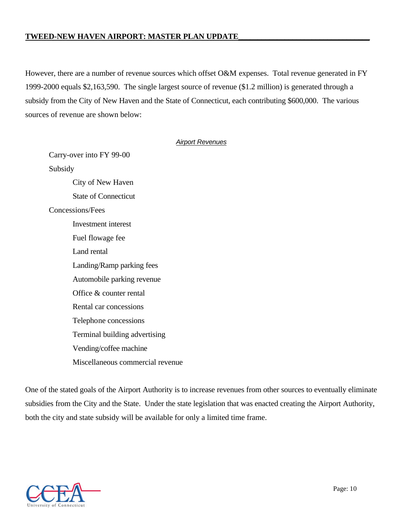However, there are a number of revenue sources which offset O&M expenses. Total revenue generated in FY 1999-2000 equals \$2,163,590. The single largest source of revenue (\$1.2 million) is generated through a subsidy from the City of New Haven and the State of Connecticut, each contributing \$600,000. The various sources of revenue are shown below:

## *Airport Revenues*

Carry-over into FY 99-00 Subsidy City of New Haven State of Connecticut Concessions/Fees Investment interest Fuel flowage fee Land rental Landing/Ramp parking fees Automobile parking revenue Office & counter rental Rental car concessions Telephone concessions Terminal building advertising Vending/coffee machine Miscellaneous commercial revenue

One of the stated goals of the Airport Authority is to increase revenues from other sources to eventually eliminate subsidies from the City and the State. Under the state legislation that was enacted creating the Airport Authority, both the city and state subsidy will be available for only a limited time frame.

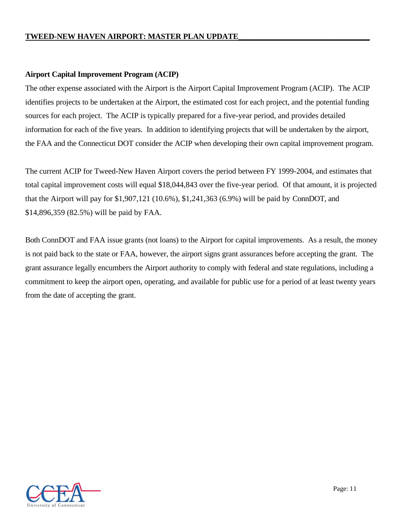## **Airport Capital Improvement Program (ACIP)**

The other expense associated with the Airport is the Airport Capital Improvement Program (ACIP). The ACIP identifies projects to be undertaken at the Airport, the estimated cost for each project, and the potential funding sources for each project. The ACIP is typically prepared for a five-year period, and provides detailed information for each of the five years. In addition to identifying projects that will be undertaken by the airport, the FAA and the Connecticut DOT consider the ACIP when developing their own capital improvement program.

The current ACIP for Tweed-New Haven Airport covers the period between FY 1999-2004, and estimates that total capital improvement costs will equal \$18,044,843 over the five-year period. Of that amount, it is projected that the Airport will pay for \$1,907,121 (10.6%), \$1,241,363 (6.9%) will be paid by ConnDOT, and \$14,896,359 (82.5%) will be paid by FAA.

Both ConnDOT and FAA issue grants (not loans) to the Airport for capital improvements. As a result, the money is not paid back to the state or FAA, however, the airport signs grant assurances before accepting the grant. The grant assurance legally encumbers the Airport authority to comply with federal and state regulations, including a commitment to keep the airport open, operating, and available for public use for a period of at least twenty years from the date of accepting the grant.

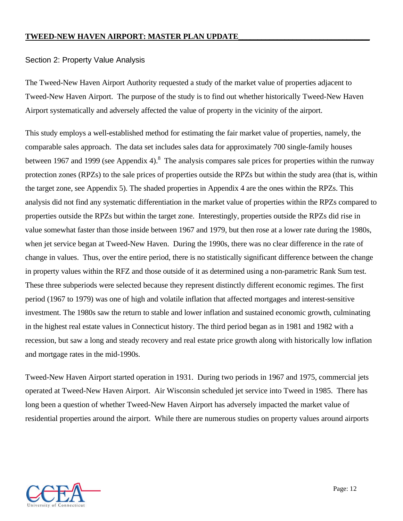## Section 2: Property Value Analysis

The Tweed-New Haven Airport Authority requested a study of the market value of properties adjacent to Tweed-New Haven Airport. The purpose of the study is to find out whether historically Tweed-New Haven Airport systematically and adversely affected the value of property in the vicinity of the airport.

This study employs a well-established method for estimating the fair market value of properties, namely, the comparable sales approach. The data set includes sales data for approximately 700 single-family houses between 1967 and 1999 (see Appendix 4).<sup>8</sup> The analysis compares sale prices for properties within the runway protection zones (RPZs) to the sale prices of properties outside the RPZs but within the study area (that is, within the target zone, see Appendix 5). The shaded properties in Appendix 4 are the ones within the RPZs. This analysis did not find any systematic differentiation in the market value of properties within the RPZs compared to properties outside the RPZs but within the target zone. Interestingly, properties outside the RPZs did rise in value somewhat faster than those inside between 1967 and 1979, but then rose at a lower rate during the 1980s, when jet service began at Tweed-New Haven. During the 1990s, there was no clear difference in the rate of change in values. Thus, over the entire period, there is no statistically significant difference between the change in property values within the RFZ and those outside of it as determined using a non-parametric Rank Sum test. These three subperiods were selected because they represent distinctly different economic regimes. The first period (1967 to 1979) was one of high and volatile inflation that affected mortgages and interest-sensitive investment. The 1980s saw the return to stable and lower inflation and sustained economic growth, culminating in the highest real estate values in Connecticut history. The third period began as in 1981 and 1982 with a recession, but saw a long and steady recovery and real estate price growth along with historically low inflation and mortgage rates in the mid-1990s.

Tweed-New Haven Airport started operation in 1931. During two periods in 1967 and 1975, commercial jets operated at Tweed-New Haven Airport. Air Wisconsin scheduled jet service into Tweed in 1985. There has long been a question of whether Tweed-New Haven Airport has adversely impacted the market value of residential properties around the airport. While there are numerous studies on property values around airports

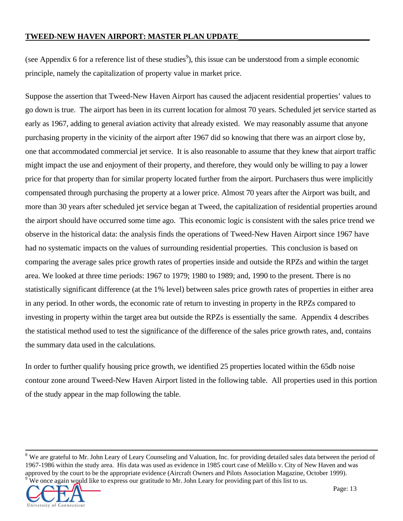(see Appendix 6 for a reference list of these studies<sup>9</sup>), this issue can be understood from a simple economic principle, namely the capitalization of property value in market price.

Suppose the assertion that Tweed-New Haven Airport has caused the adjacent residential properties' values to go down is true. The airport has been in its current location for almost 70 years. Scheduled jet service started as early as 1967, adding to general aviation activity that already existed. We may reasonably assume that anyone purchasing property in the vicinity of the airport after 1967 did so knowing that there was an airport close by, one that accommodated commercial jet service. It is also reasonable to assume that they knew that airport traffic might impact the use and enjoyment of their property, and therefore, they would only be willing to pay a lower price for that property than for similar property located further from the airport. Purchasers thus were implicitly compensated through purchasing the property at a lower price. Almost 70 years after the Airport was built, and more than 30 years after scheduled jet service began at Tweed, the capitalization of residential properties around the airport should have occurred some time ago. This economic logic is consistent with the sales price trend we observe in the historical data: the analysis finds the operations of Tweed-New Haven Airport since 1967 have had no systematic impacts on the values of surrounding residential properties. This conclusion is based on comparing the average sales price growth rates of properties inside and outside the RPZs and within the target area. We looked at three time periods: 1967 to 1979; 1980 to 1989; and, 1990 to the present. There is no statistically significant difference (at the 1% level) between sales price growth rates of properties in either area in any period. In other words, the economic rate of return to investing in property in the RPZs compared to investing in property within the target area but outside the RPZs is essentially the same. Appendix 4 describes the statistical method used to test the significance of the difference of the sales price growth rates, and, contains the summary data used in the calculations.

In order to further qualify housing price growth, we identified 25 properties located within the 65db noise contour zone around Tweed-New Haven Airport listed in the following table. All properties used in this portion of the study appear in the map following the table.

<sup>&</sup>lt;sup>8</sup> We are grateful to Mr. John Leary of Leary Counseling and Valuation, Inc. for providing detailed sales data between the period of 1967-1986 within the study area. His data was used as evidence in 1985 court case of Melillo v. City of New Haven and was approved by the court to be the appropriate evidence (Aircraft Owners and Pilots Association Magazine, October 1999). 9 We once again would like to express our gratitude to Mr. John Leary for providing part of this list to us.



l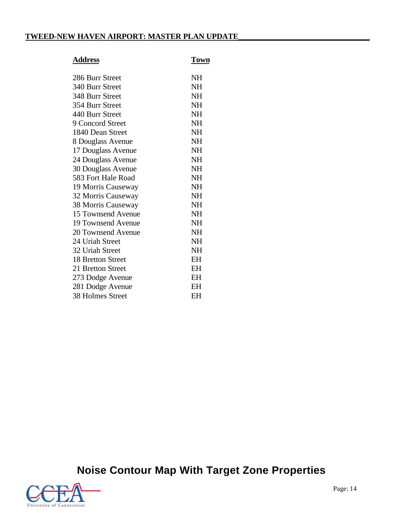## **Address Town**

|--|

| 286 Burr Street         | NH        |
|-------------------------|-----------|
| 340 Burr Street         | NH        |
| 348 Burr Street         | NH        |
| 354 Burr Street         | NH        |
| 440 Burr Street         | NH        |
| 9 Concord Street        | <b>NH</b> |
| 1840 Dean Street        | <b>NH</b> |
| 8 Douglass Avenue       | <b>NH</b> |
| 17 Douglass Avenue      | <b>NH</b> |
| 24 Douglass Avenue      | NH        |
| 30 Douglass Avenue      | NH        |
| 583 Fort Hale Road      | <b>NH</b> |
| 19 Morris Causeway      | <b>NH</b> |
| 32 Morris Causeway      | <b>NH</b> |
| 38 Morris Causeway      | <b>NH</b> |
| 15 Townsend Avenue      | NH        |
| 19 Townsend Avenue      | <b>NH</b> |
| 20 Townsend Avenue      | <b>NH</b> |
| 24 Uriah Street         | <b>NH</b> |
| 32 Uriah Street         | NH        |
| 18 Bretton Street       | EH        |
| 21 Bretton Street       | EH        |
| 273 Dodge Avenue        | EH        |
| 281 Dodge Avenue        | EН        |
| <b>38 Holmes Street</b> | EН        |
|                         |           |

**Noise Contour Map With Target Zone Properties**

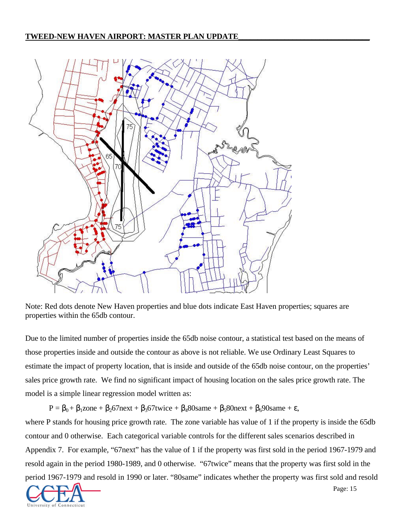

Note: Red dots denote New Haven properties and blue dots indicate East Haven properties; squares are properties within the 65db contour.

Due to the limited number of properties inside the 65db noise contour, a statistical test based on the means of those properties inside and outside the contour as above is not reliable. We use Ordinary Least Squares to estimate the impact of property location, that is inside and outside of the 65db noise contour, on the properties' sales price growth rate. We find no significant impact of housing location on the sales price growth rate. The model is a simple linear regression model written as:

 $P = \beta_0 + \beta_1$ zone +  $\beta_2$ 67next +  $\beta_3$ 67twice +  $\beta_4$ 80same +  $\beta_5$ 80next +  $\beta_6$ 90same +  $\varepsilon$ ,

where P stands for housing price growth rate. The zone variable has value of 1 if the property is inside the 65db contour and 0 otherwise. Each categorical variable controls for the different sales scenarios described in Appendix 7. For example, "67next" has the value of 1 if the property was first sold in the period 1967-1979 and resold again in the period 1980-1989, and 0 otherwise. "67twice" means that the property was first sold in the period 1967-1979 and resold in 1990 or later. "80same" indicates whether the property was first sold and resold

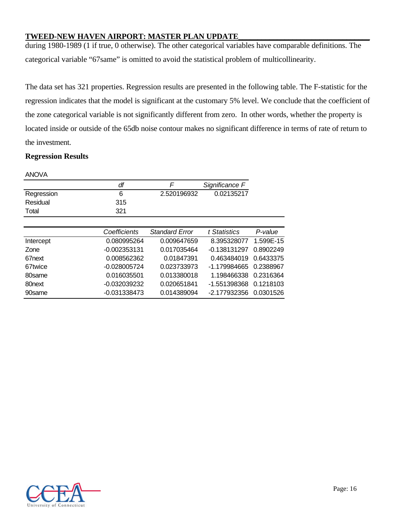during 1980-1989 (1 if true, 0 otherwise). The other categorical variables have comparable definitions. The categorical variable "67same" is omitted to avoid the statistical problem of multicollinearity.

The data set has 321 properties. Regression results are presented in the following table. The F-statistic for the regression indicates that the model is significant at the customary 5% level. We conclude that the coefficient of the zone categorical variable is not significantly different from zero. In other words, whether the property is located inside or outside of the 65db noise contour makes no significant difference in terms of rate of return to the investment.

## **Regression Results**

|                    | df             | F                     | Significance F |           |
|--------------------|----------------|-----------------------|----------------|-----------|
| Regression         | 6              | 2.520196932           | 0.02135217     |           |
| Residual           | 315            |                       |                |           |
| Total              | 321            |                       |                |           |
|                    |                |                       |                |           |
|                    | Coefficients   | <b>Standard Error</b> | t Statistics   | P-value   |
| Intercept          | 0.080995264    | 0.009647659           | 8.395328077    | 1.599E-15 |
| Zone               | $-0.002353131$ | 0.017035464           | $-0.138131297$ | 0.8902249 |
| 67 <sub>next</sub> | 0.008562362    | 0.01847391            | 0.463484019    | 0.6433375 |
| 67twice            | $-0.028005724$ | 0.023733973           | -1.179984665   | 0.2388967 |
| 80same             | 0.016035501    | 0.013380018           | 1.198466338    | 0.2316364 |
| 80 <sub>next</sub> | $-0.032039232$ | 0.020651841           | -1.551398368   | 0.1218103 |
| 90same             | -0.031338473   | 0.014389094           | -2.177932356   | 0.0301526 |

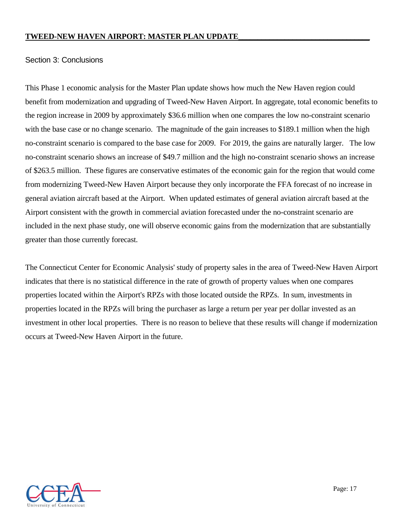## Section 3: Conclusions

This Phase 1 economic analysis for the Master Plan update shows how much the New Haven region could benefit from modernization and upgrading of Tweed-New Haven Airport. In aggregate, total economic benefits to the region increase in 2009 by approximately \$36.6 million when one compares the low no-constraint scenario with the base case or no change scenario. The magnitude of the gain increases to \$189.1 million when the high no-constraint scenario is compared to the base case for 2009. For 2019, the gains are naturally larger. The low no-constraint scenario shows an increase of \$49.7 million and the high no-constraint scenario shows an increase of \$263.5 million. These figures are conservative estimates of the economic gain for the region that would come from modernizing Tweed-New Haven Airport because they only incorporate the FFA forecast of no increase in general aviation aircraft based at the Airport. When updated estimates of general aviation aircraft based at the Airport consistent with the growth in commercial aviation forecasted under the no-constraint scenario are included in the next phase study, one will observe economic gains from the modernization that are substantially greater than those currently forecast.

The Connecticut Center for Economic Analysis' study of property sales in the area of Tweed-New Haven Airport indicates that there is no statistical difference in the rate of growth of property values when one compares properties located within the Airport's RPZs with those located outside the RPZs. In sum, investments in properties located in the RPZs will bring the purchaser as large a return per year per dollar invested as an investment in other local properties. There is no reason to believe that these results will change if modernization occurs at Tweed-New Haven Airport in the future.

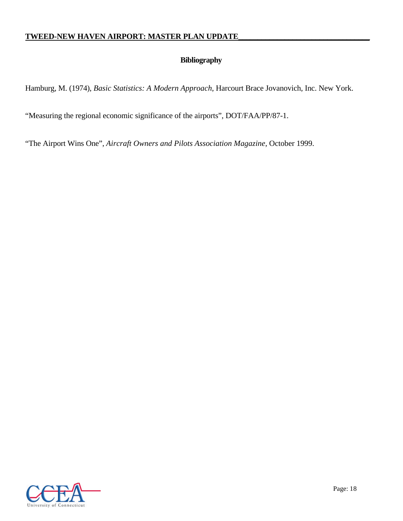## **Bibliography**

Hamburg, M. (1974), *Basic Statistics: A Modern Approach*, Harcourt Brace Jovanovich, Inc. New York.

"Measuring the regional economic significance of the airports", DOT/FAA/PP/87-1.

"The Airport Wins One", *Aircraft Owners and Pilots Association Magazine*, October 1999.

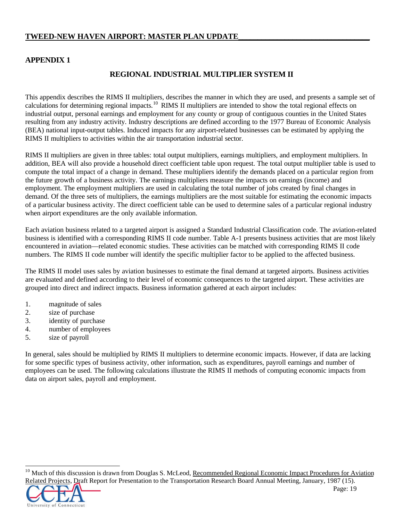## **APPENDIX 1**

## **REGIONAL INDUSTRIAL MULTIPLIER SYSTEM II**

This appendix describes the RIMS II multipliers, describes the manner in which they are used, and presents a sample set of calculations for determining regional impacts.<sup>10</sup> RIMS II multipliers are intended to show the total regional effects on industrial output, personal earnings and employment for any county or group of contiguous counties in the United States resulting from any industry activity. Industry descriptions are defined according to the 1977 Bureau of Economic Analysis (BEA) national input-output tables. Induced impacts for any airport-related businesses can be estimated by applying the RIMS II multipliers to activities within the air transportation industrial sector.

RIMS II multipliers are given in three tables: total output multipliers, earnings multipliers, and employment multipliers. In addition, BEA will also provide a household direct coefficient table upon request. The total output multiplier table is used to compute the total impact of a change in demand. These multipliers identify the demands placed on a particular region from the future growth of a business activity. The earnings multipliers measure the impacts on earnings (income) and employment. The employment multipliers are used in calculating the total number of jobs created by final changes in demand. Of the three sets of multipliers, the earnings multipliers are the most suitable for estimating the economic impacts of a particular business activity. The direct coefficient table can be used to determine sales of a particular regional industry when airport expenditures are the only available information.

Each aviation business related to a targeted airport is assigned a Standard Industrial Classification code. The aviation-related business is identified with a corresponding RIMS II code number. Table A-1 presents business activities that are most likely encountered in aviation—related economic studies. These activities can be matched with corresponding RIMS II code numbers. The RIMS II code number will identify the specific multiplier factor to be applied to the affected business.

The RIMS II model uses sales by aviation businesses to estimate the final demand at targeted airports. Business activities are evaluated and defined according to their level of economic consequences to the targeted airport. These activities are grouped into direct and indirect impacts. Business information gathered at each airport includes:

- 1. magnitude of sales
- 2. size of purchase
- 3. identity of purchase
- 4. number of employees
- 5. size of payroll

In general, sales should be multiplied by RIMS II multipliers to determine economic impacts. However, if data are lacking for some specific types of business activity, other information, such as expenditures, payroll earnings and number of employees can be used. The following calculations illustrate the RIMS II methods of computing economic impacts from data on airport sales, payroll and employment.

<sup>&</sup>lt;sup>10</sup> Much of this discussion is drawn from Douglas S. McLeod, Recommended Regional Economic Impact Procedures for Aviation Related Projects, Draft Report for Presentation to the Transportation Research Board Annual Meeting, January, 1987 (15).



l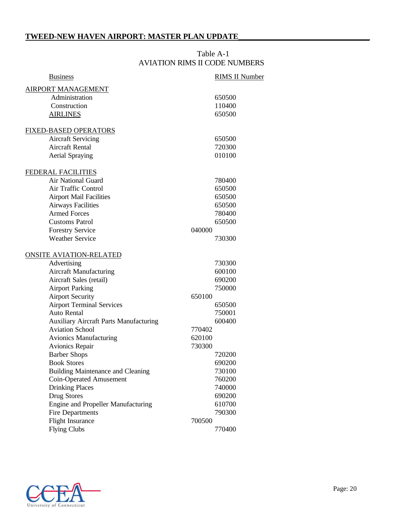## Table A-1 AVIATION RIMS II CODE NUMBERS

| <b>RIMS II Number</b> |
|-----------------------|
|                       |
| 650500                |
| 110400                |
| 650500                |
|                       |
| 650500                |
| 720300                |
| 010100                |
|                       |
| 780400                |
| 650500                |
| 650500                |
| 650500                |
| 780400                |
| 650500                |
| 040000                |
| 730300                |
|                       |
| 730300                |
| 600100                |
| 690200                |
| 750000                |
| 650100                |
| 650500                |
| 750001                |
| 600400                |
| 770402                |
| 620100                |
| 730300                |
| 720200                |
| 690200                |
| 730100                |
| 760200                |
| 740000                |
| 690200                |
| 610700                |
| 790300                |
| 700500                |
| 770400                |
|                       |

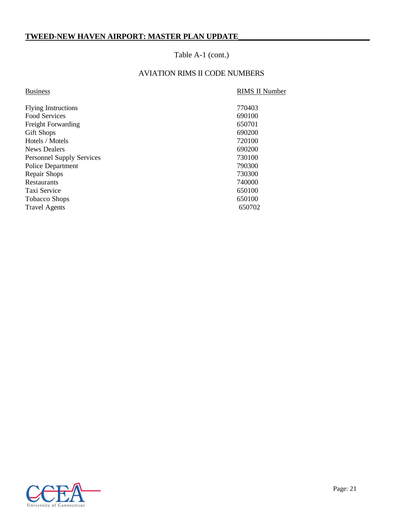## Table A-1 (cont.)

## AVIATION RIMS II CODE NUMBERS

## **Business**

## RIMS II Number

| 770403 |
|--------|
| 690100 |
| 650701 |
| 690200 |
| 720100 |
| 690200 |
| 730100 |
| 790300 |
| 730300 |
| 740000 |
| 650100 |
| 650100 |
| 650702 |
|        |

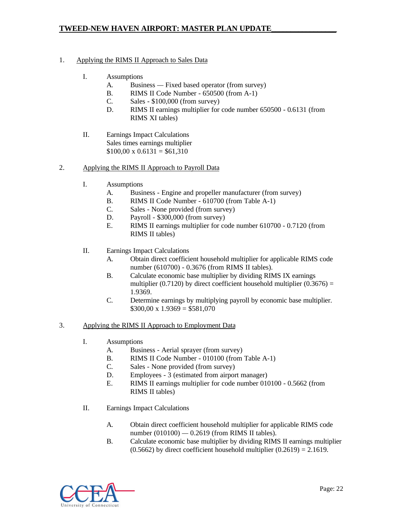## 1. Applying the RIMS II Approach to Sales Data

- I. Assumptions
	- A. Business Fixed based operator (from survey)
	- B. RIMS II Code Number 650500 (from A-1)
	- C. Sales \$100,000 (from survey)
	- D. RIMS II earnings multiplier for code number 650500 0.6131 (from RIMS XI tables)
- II. Earnings Impact Calculations Sales times earnings multiplier  $$100,00 \times 0.6131 = $61,310$

#### 2. Applying the RIMS II Approach to Payroll Data

- I. Assumptions
	- A. Business Engine and propeller manufacturer (from survey)
	- B. RIMS II Code Number 610700 (from Table A-1)
	- C. Sales None provided (from survey)
	- D. Payroll \$300,000 (from survey)
	- E. RIMS II earnings multiplier for code number 610700 0.7120 (from RIMS II tables)
- II. Earnings Impact Calculations
	- A. Obtain direct coefficient household multiplier for applicable RIMS code number (610700) - 0.3676 (from RIMS II tables).
	- B. Calculate economic base multiplier by dividing RIMS IX earnings multiplier (0.7120) by direct coefficient household multiplier (0.3676) = 1.9369.
	- C. Determine earnings by multiplying payroll by economic base multiplier.  $$300,00 \times 1.9369 = $581,070$

#### 3. Applying the RIMS II Approach to Employment Data

- I. Assumptions
	- A. Business Aerial sprayer (from survey)
	- B. RIMS II Code Number 010100 (from Table A-1)
	- C. Sales None provided (from survey)
	- D. Employees 3 (estimated from airport manager)
	- E. RIMS II earnings multiplier for code number 010100 0.5662 (from RIMS II tables)
- II. Earnings Impact Calculations
	- A. Obtain direct coefficient household multiplier for applicable RIMS code number (010100) *—* 0.2619 (from RIMS II tables).
	- B. Calculate economic base multiplier by dividing RIMS II earnings multiplier  $(0.5662)$  by direct coefficient household multiplier  $(0.2619) = 2.1619$ .

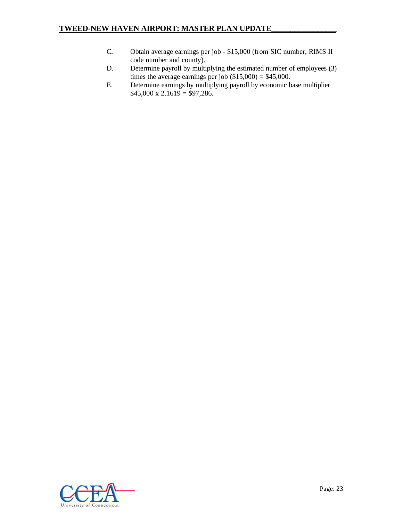- C. Obtain average earnings per job \$15,000 (from SIC number, RIMS II code number and county).
- D. Determine payroll by multiplying the estimated number of employees (3) times the average earnings per job  $(\$15,000) = \$45,000$ .
- E. Determine earnings by multiplying payroll by economic base multiplier  $$45,000 \times 2.1619 = $97,286.$

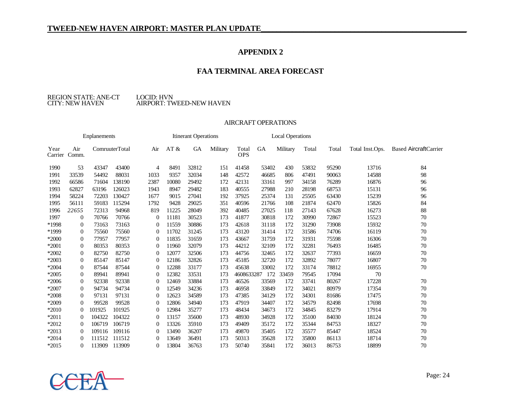## **APPENDIX 2**

## **FAA TERMINAL AREA FORECAST**

#### REGION STATE: ANE-CT<br>CITY: NEW HAVEN LOCID: HVN<br>AIRPORT: TWEED-NEW HAVEN

#### AIRCRAFT OPERATIONS

| <b>Enplanements</b> |                  |        |                |          | <b>Itinerant Operations</b> |       |          |                     | <b>Local Operations</b> |          |       |       |                 |                              |
|---------------------|------------------|--------|----------------|----------|-----------------------------|-------|----------|---------------------|-------------------------|----------|-------|-------|-----------------|------------------------------|
| Year<br>Carrier     | Air<br>Comm.     |        | ComruuterTotal | Air      | AT &                        | GA    | Military | Total<br><b>OPS</b> | GA                      | Military | Total | Total | Total Inst.Ops. | <b>Based AircraftCarrier</b> |
| 1990                | 53               | 43347  | 43400          | 4        | 8491                        | 32812 | 151      | 41458               | 53402                   | 430      | 53832 | 95290 | 13716           | 84                           |
| 1991                | 33539            | 54492  | 88031          | 1033     | 9357                        | 32034 | 148      | 42572               | 46685                   | 806      | 47491 | 90063 | 14588           | 98                           |
| 1992                | 66586            | 71604  | 138190         | 2387     | 10080                       | 29492 | 172      | 42131               | 33161                   | 997      | 34158 | 76289 | 16876           | 96                           |
| 1993                | 62827            | 63196  | 126023         | 1943     | 8947                        | 29482 | 183      | 40555               | 27988                   | 210      | 28198 | 68753 | 15131           | 96                           |
| 1994                | 58224            | 72203  | 130427         | 1677     | 9015                        | 27041 | 192      | 37925               | 25374                   | 131      | 25505 | 63430 | 15239           | 96                           |
| 1995                | 56111            | 59183  | 115294         | 1792     | 9428                        | 29025 | 351      | 40596               | 21766                   | 108      | 21874 | 62470 | 15826           | 84                           |
| 1996                | 22655            | 72313  | 94968          | 819      | 11225                       | 28049 | 392      | 40485               | 27025                   | 118      | 27143 | 67628 | 16273           | 88                           |
| 1997                | $\theta$         | 70766  | 70766          | $\Omega$ | 11181                       | 30523 | 173      | 41877               | 30818                   | 172      | 30990 | 72867 | 15523           | 70                           |
| *1998               | $\boldsymbol{0}$ | 73163  | 73163          | $\Omega$ | 11559                       | 30886 | 173      | 42618               | 31118                   | 172      | 31290 | 73908 | 15932           | 70                           |
| *1999               | $\overline{0}$   | 75560  | 75560          | $\theta$ | 11702                       | 31245 | 173      | 43120               | 31414                   | 172      | 31586 | 74706 | 16119           | 70                           |
| $*2000$             | $\overline{0}$   | 77957  | 77957          | 0        | 11835                       | 31659 | 173      | 43667               | 31759                   | 172      | 31931 | 75598 | 16306           | 70                           |
| *2001               | $\overline{0}$   | 80353  | 80353          | $\Omega$ | 11960                       | 32079 | 173      | 44212               | 32109                   | 172      | 32281 | 76493 | 16485           | 70                           |
| *2002               | $\overline{0}$   | 82750  | 82750          | $\Omega$ | 12077                       | 32506 | 173      | 44756               | 32465                   | 172      | 32637 | 77393 | 16659           | 70                           |
| $*2003$             | $\overline{0}$   | 85147  | 85147          | $\Omega$ | 12186                       | 32826 | 173      | 45185               | 32720                   | 172      | 32892 | 78077 | 16807           | 70                           |
| $*2004$             | $\theta$         | 87544  | 87544          | $\Omega$ | 12288                       | 33177 | 173      | 45638               | 33002                   | 172      | 33174 | 78812 | 16955           | 70                           |
| $*2005$             | $\overline{0}$   | 89941  | 89941          | 0        | 12382                       | 33531 | 173      | 4608633287          | 172                     | 33459    | 79545 | 17094 | 70              |                              |
| $*2006$             | $\theta$         | 92338  | 92338          | $\Omega$ | 12469                       | 33884 | 173      | 46526               | 33569                   | 172      | 33741 | 80267 | 17228           | 70                           |
| *2007               | $\boldsymbol{0}$ | 94734  | 94734          | $\Omega$ | 12549                       | 34236 | 173      | 46958               | 33849                   | 172      | 34021 | 80979 | 17354           | 70                           |
| *2008               | $\theta$         | 97131  | 97131          | $\Omega$ | 12623                       | 34589 | 173      | 47385               | 34129                   | 172      | 34301 | 81686 | 17475           | 70                           |
| *2009               | $\theta$         | 99528  | 99528          | 0        | 12806                       | 34940 | 173      | 47919               | 34407                   | 172      | 34579 | 82498 | 17698           | 70                           |
| *2010               | $\Omega$         | 101925 | 101925         | 0        | 12984                       | 35277 | 173      | 48434               | 34673                   | 172      | 34845 | 83279 | 17914           | 70                           |
| $*2011$             | $\theta$         | 104322 | 104322         | 0        | 13157                       | 35600 | 173      | 48930               | 34928                   | 172      | 35100 | 84030 | 18124           | 70                           |
| *2012               | $\Omega$         | 106719 | 106719         | 0        | 13326                       | 35910 | 173      | 49409               | 35172                   | 172      | 35344 | 84753 | 18327           | 70                           |
| $*2013$             | $\Omega$         | 109116 | 109116         | $\Omega$ | 13490                       | 36207 | 173      | 49870               | 35405                   | 172      | 35577 | 85447 | 18524           | 70                           |
| $*2014$             | $\Omega$         | 111512 | 111512         | $\Omega$ | 13649                       | 36491 | 173      | 50313               | 35628                   | 172      | 35800 | 86113 | 18714           | 70                           |
| $*2015$             | 0                | 113909 | 113909         | $\Omega$ | 13804                       | 36763 | 173      | 50740               | 35841                   | 172      | 36013 | 86753 | 18899           | 70                           |

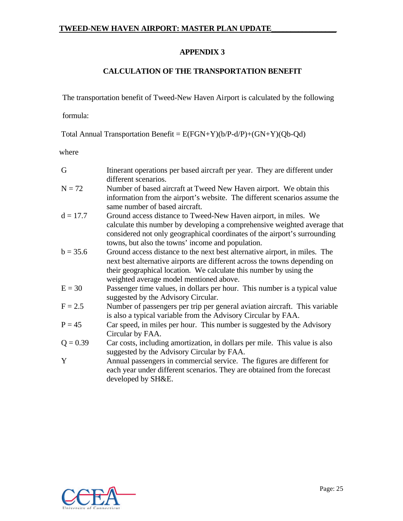## **APPENDIX 3**

## **CALCULATION OF THE TRANSPORTATION BENEFIT**

The transportation benefit of Tweed-New Haven Airport is calculated by the following

formula:

Total Annual Transportation Benefit = E(FGN+Y)(b/P-d/P)+(GN+Y)(Qb-Qd)

where

| G          | Itinerant operations per based aircraft per year. They are different under<br>different scenarios.                                                                                                                                                                             |
|------------|--------------------------------------------------------------------------------------------------------------------------------------------------------------------------------------------------------------------------------------------------------------------------------|
| $N = 72$   | Number of based aircraft at Tweed New Haven airport. We obtain this<br>information from the airport's website. The different scenarios assume the<br>same number of based aircraft.                                                                                            |
| $d = 17.7$ | Ground access distance to Tweed-New Haven airport, in miles. We<br>calculate this number by developing a comprehensive weighted average that<br>considered not only geographical coordinates of the airport's surrounding<br>towns, but also the towns' income and population. |
| $b = 35.6$ | Ground access distance to the next best alternative airport, in miles. The<br>next best alternative airports are different across the towns depending on<br>their geographical location. We calculate this number by using the<br>weighted average model mentioned above.      |
| $E = 30$   | Passenger time values, in dollars per hour. This number is a typical value<br>suggested by the Advisory Circular.                                                                                                                                                              |
| $F = 2.5$  | Number of passengers per trip per general aviation aircraft. This variable<br>is also a typical variable from the Advisory Circular by FAA.                                                                                                                                    |
| $P = 45$   | Car speed, in miles per hour. This number is suggested by the Advisory<br>Circular by FAA.                                                                                                                                                                                     |
| $Q = 0.39$ | Car costs, including amortization, in dollars per mile. This value is also<br>suggested by the Advisory Circular by FAA.                                                                                                                                                       |
| Y          | Annual passengers in commercial service. The figures are different for<br>each year under different scenarios. They are obtained from the forecast<br>developed by SH&E.                                                                                                       |

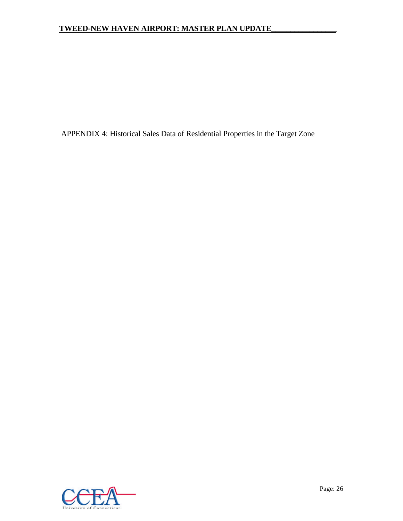APPENDIX 4: Historical Sales Data of Residential Properties in the Target Zone

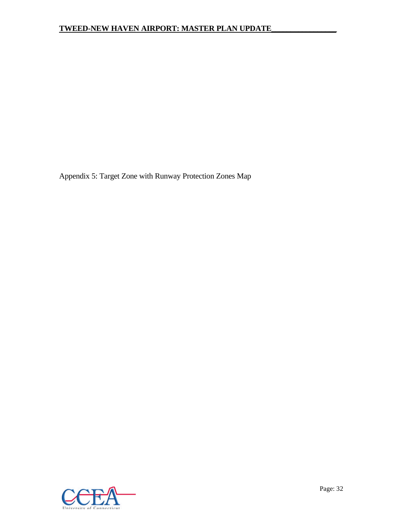Appendix 5: Target Zone with Runway Protection Zones Map

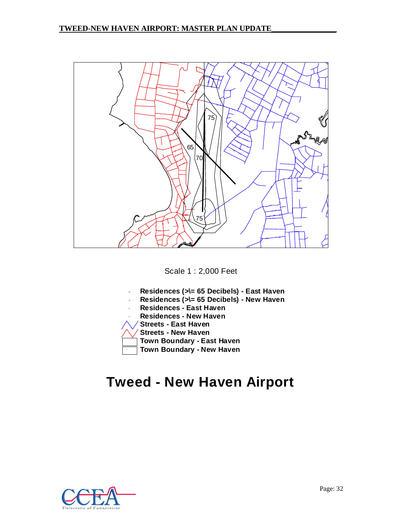

Scale 1 : 2,000 Feet

- % **Residences (>\= 65 Decibels) - East Haven**
- % **Residences (>\= 65 Decibels) - New Haven**
- # **Residences - East Haven**
- # **Residences - New Haven**
- **Streets - East Haven**
- **Streets - New Haven**
- **Town Boundary - East Haven**

**Town Boundary - New Haven**

## **Tweed - New Haven Airport**

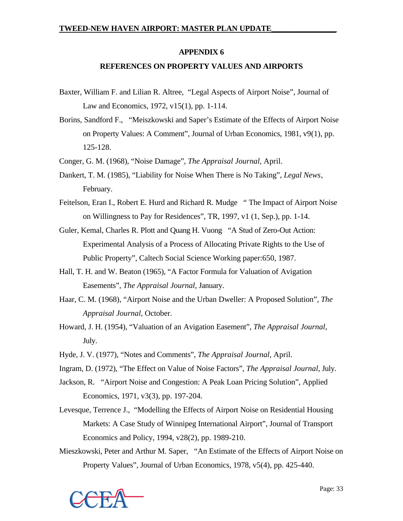## **APPENDIX 6**

## **REFERENCES ON PROPERTY VALUES AND AIRPORTS**

- Baxter, William F. and Lilian R. Altree, "Legal Aspects of Airport Noise", Journal of Law and Economics, 1972, v15(1), pp. 1-114.
- Borins, Sandford F., "Meiszkowski and Saper's Estimate of the Effects of Airport Noise on Property Values: A Comment", Journal of Urban Economics, 1981, v9(1), pp. 125-128.
- Conger, G. M. (1968), "Noise Damage", *The Appraisal Journal*, April.
- Dankert, T. M. (1985), "Liability for Noise When There is No Taking", *Legal News*, February.
- Feitelson, Eran I., Robert E. Hurd and Richard R. Mudge " The Impact of Airport Noise on Willingness to Pay for Residences", TR, 1997, v1 (1, Sep.), pp. 1-14.
- Guler, Kemal, Charles R. Plott and Quang H. Vuong "A Stud of Zero-Out Action: Experimental Analysis of a Process of Allocating Private Rights to the Use of Public Property", Caltech Social Science Working paper:650, 1987.
- Hall, T. H. and W. Beaton (1965), "A Factor Formula for Valuation of Avigation Easements", *The Appraisal Journal*, January.
- Haar, C. M. (1968), "Airport Noise and the Urban Dweller: A Proposed Solution", *The Appraisal Journal*, October.
- Howard, J. H. (1954), "Valuation of an Avigation Easement", *The Appraisal Journal*, July.
- Hyde, J. V. (1977), "Notes and Comments", *The Appraisal Journal,* April.
- Ingram, D. (1972), "The Effect on Value of Noise Factors", *The Appraisal Journal*, July.
- Jackson, R. "Airport Noise and Congestion: A Peak Loan Pricing Solution", Applied Economics, 1971, v3(3), pp. 197-204.
- Levesque, Terrence J., "Modelling the Effects of Airport Noise on Residential Housing Markets: A Case Study of Winnipeg International Airport", Journal of Transport Economics and Policy, 1994, v28(2), pp. 1989-210.
- Mieszkowski, Peter and Arthur M. Saper, "An Estimate of the Effects of Airport Noise on Property Values", Journal of Urban Economics, 1978, v5(4), pp. 425-440.

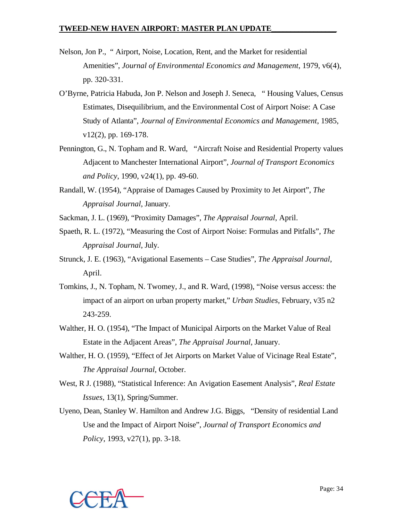- Nelson, Jon P., " Airport, Noise, Location, Rent, and the Market for residential Amenities", *Journal of Environmental Economics and Management*, 1979, v6(4), pp. 320-331.
- O'Byrne, Patricia Habuda, Jon P. Nelson and Joseph J. Seneca, " Housing Values, Census Estimates, Disequilibrium, and the Environmental Cost of Airport Noise: A Case Study of Atlanta", *Journal of Environmental Economics and Management*, 1985, v12(2), pp. 169-178.
- Pennington, G., N. Topham and R. Ward, "Aircraft Noise and Residential Property values Adjacent to Manchester International Airport", *Journal of Transport Economics and Policy*, 1990, v24(1), pp. 49-60.
- Randall, W. (1954), "Appraise of Damages Caused by Proximity to Jet Airport", *The Appraisal Journal*, January.
- Sackman, J. L. (1969), "Proximity Damages", *The Appraisal Journal*, April.
- Spaeth, R. L. (1972), "Measuring the Cost of Airport Noise: Formulas and Pitfalls", *The Appraisal Journal*, July.
- Strunck, J. E. (1963), "Avigational Easements Case Studies", *The Appraisal Journal*, April.
- Tomkins, J., N. Topham, N. Twomey, J., and R. Ward, (1998), "Noise versus access: the impact of an airport on urban property market," *Urban Studies*, February, v35 n2 243-259.
- Walther, H. O. (1954), "The Impact of Municipal Airports on the Market Value of Real Estate in the Adjacent Areas", *The Appraisal Journal*, January.
- Walther, H. O. (1959), "Effect of Jet Airports on Market Value of Vicinage Real Estate", *The Appraisal Journal*, October.
- West, R J. (1988), "Statistical Inference: An Avigation Easement Analysis", *Real Estate Issues*, 13(1), Spring/Summer.
- Uyeno, Dean, Stanley W. Hamilton and Andrew J.G. Biggs, "Density of residential Land Use and the Impact of Airport Noise", *Journal of Transport Economics and Policy*, 1993, v27(1), pp. 3-18.